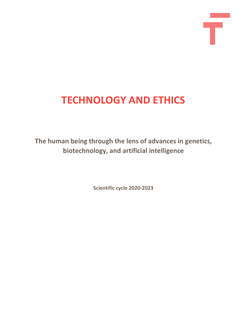# **TECHNOLOGY AND ETHICS**

Ŧ

**The human being through the lens of advances in genetics, biotechnology, and artificial intelligence**

**Scientific cycle 2020-2023**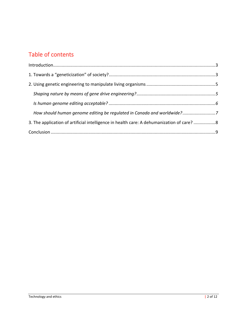# Table of contents

| How should human genome editing be regulated in Canada and worldwide?7                    |  |
|-------------------------------------------------------------------------------------------|--|
| 3. The application of artificial intelligence in health care: A dehumanization of care? 8 |  |
|                                                                                           |  |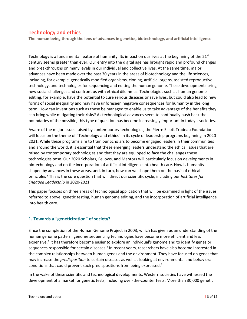# **Technology and ethics**

**The human being through the lens of advances in genetics, biotechnology, and artificial intelligence**

Technology is a fundamental feature of humanity. Its impact on our lives at the beginning of the  $21^{st}$ century seems greater than ever. Our entry into the digital age has brought rapid and profound changes and breakthroughs on many levels in our individual and collective lives. At the same time, major advances have been made over the past 30 years in the areas of biotechnology and the life sciences, including, for example, genetically modified organisms, cloning, artificial organs, assisted reproductive technology, and technologies for sequencing and editing the human genome. These developments bring new social challenges and confront us with ethical dilemmas. Technologies such as human genome editing, for example, have the potential to cure serious diseases or save lives, but could also lead to new forms of social inequality and may have unforeseen negative consequences for humanity in the long term. How can inventions such as these be managed to enable us to take advantage of the benefits they can bring while mitigating their risks? As technological advances seem to continually push back the boundaries of the possible, this type of question has become increasingly important in today's societies.

Aware of the major issues raised by contemporary technologies, the Pierre Elliott Trudeau Foundation will focus on the theme of "Technology and ethics" in its cycle of leadership programs beginning in 2020- 2021. While these programs aim to train our Scholars to become engaged leaders in their communities and around the world, it is essential that these emerging leaders understand the ethical issues that are raised by contemporary technologies and that they are equipped to face the challenges these technologies pose. Our 2020 Scholars, Fellows, and Mentors will particularly focus on developments in biotechnology and on the incorporation of artificial intelligence into health care. How is humanity shaped by advances in these areas, and, in turn, how can we shape them on the basis of ethical principles? This is the core question that will direct our scientific cycle, including our *Institutes for Engaged Leadership* in 2020-2021.

This paper focuses on three areas of technological application that will be examined in light of the issues referred to above: genetic testing, human genome editing, and the incorporation of artificial intelligence into health care.

# **1. Towards a "geneticization" of society?**

Since the completion of the Human Genome Project in 2003, which has given us an understanding of the human genome pattern, genome sequencing technologies have become more efficient and less expensive.<sup>[1](#page-9-0)</sup> It has therefore become easier to explore an individual's genome and to identify genes or sequences responsible for certain diseases.<sup>[2](#page-9-1)</sup> In recent years, researchers have also become interested in the complex relationships between human genes and the environment. They have focused on genes that may increase the *predisposition* to certain diseases as well as looking at environmental and behavioral conditions that could prevent such predispositions from being expressed.<sup>[3](#page-9-2)</sup>

In the wake of these scientific and technological developments, Western societies have witnessed the development of a market for genetic tests, including over-the-counter tests. More than 30,000 genetic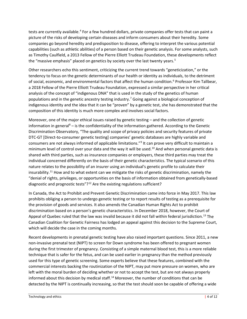tests are currently available.<sup>[4](#page-9-3)</sup> For a few hundred dollars, private companies offer tests that can paint a picture of the risks of developing certain diseases and inform consumers about their heredity. Some companies go beyond heredity and predisposition to disease, offering to interpret the various potential capabilities (such as athletic abilities) of a person based on their genetic analysis. For some analysts, such as Timothy Caulfield, a 2013 Fellow of the Pierre Elliott Trudeau Foundation, these developments reflect the "massive emphasis" placed on genetics by society over the last twenty years.<sup>[5](#page-9-4)</sup>

Other researchers echo this sentiment, criticizing the current trend towards "geneticization," or the tendency to focus on the genetic determinants of our health or identity as individuals, to the detriment of social, economic, and environmental factors that affect the human condition.<sup>[6](#page-9-5)</sup> Professor Kim Tallbear, a 2018 Fellow of the Pierre Elliott Trudeau Foundation, expressed a similar perspective in her critical analysis of the concept of "indigenous DNA" that is used in the study of the genetics of human populations and in the genetic ancestry testing industry.<sup>[7](#page-9-6)</sup> Going against a biological conception of indigenous identity and the idea that it can be "proven" by a genetic test, she has demonstrated that the composition of this identity is much more complex and involves social factors.

Moreover, one of the major ethical issues raised by genetic testing – and the collection of genetic information in general<sup>[8](#page-9-7)</sup> – is the confidentiality of the information gathered. According to the Genetic Discrimination Observatory, "The quality and scope of privacy policies and security features of private DTC-GT [Direct-to-consumer genetic testing] companies' genetic databases are highly variable and consumers are not always informed of applicable limitations.["9](#page-9-8) It can prove very difficult to maintain a minimum level of control over your data and the way it will be used.<sup>[10](#page-9-9)</sup> And when personal genetic data is shared with third parties, such as insurance companies or employers, these third parties may treat the individual concerned differently on the basis of their genetic characteristics. The typical scenario of this nature relates to the possibility of an insurer using an individual's genetic profile to calculate their insurability.<sup>[11](#page-9-10)</sup> How and to what extent can we mitigate the risks of genetic discrimination, namely the "denial of rights, privileges, or opportunities on the basis of information obtained from genetically-based diagnostic and prognostic tests"?<sup>[12](#page-9-11)</sup> Are the existing regulations sufficient?

In Canada, the Act to Prohibit and Prevent Genetic Discrimination came into force in May 2017. This law prohibits obliging a person to undergo genetic testing or to report results of testing as a prerequisite for the provision of goods and services. It also amends the Canadian Human Rights Act to prohibit discrimination based on a person's genetic characteristics. In December 2018, however, the Court of Appeal of Quebec ruled that the law was invalid because it did not fall within federal jurisdiction.<sup>[13](#page-9-12)</sup> The Canadian Coalition for Genetic Fairness has lodged an appeal against this decision to the Supreme Court, which will decide the case in the coming months.

Recent developments in prenatal genetic testing have also raised important questions. Since 2011, a new non-invasive prenatal test (NIPT) to screen for Down syndrome has been offered to pregnant women during the first trimester of pregnancy. Consisting of a simple maternal blood test, this is a more reliable technique that is safer for the fetus, and can be used earlier in pregnancy than the method previously used for this type of genetic screening. Some experts believe that these features, combined with the commercial interests backing the routinization of the NIPT, may put more pressure on women, who are left with the moral burden of deciding whether or not to accept the test, but are not always properly informed about this decision by medical staff.<sup>[14](#page-9-13)</sup> Moreover, the number of conditions that can be detected by the NIPT is continually increasing, so that the test should soon be capable of offering a wide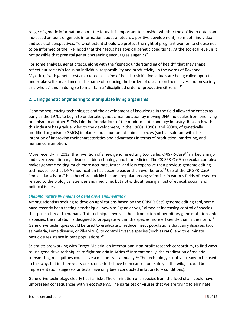range of genetic information about the fetus. It is important to consider whether the ability to obtain an increased amount of genetic information about a fetus is a positive development, from both individual and societal perspectives. To what extent should we protect the right of pregnant women to choose not to be informed of the likelihood that their fetus has atypical genetic conditions? At the societal level, is it not possible that prenatal genetic screening encourages eugenics?

For some analysts, genetic tests, along with the "genetic understanding of health" that they shape, reflect our society's focus on individual responsibility and productivity. In the words of Roxanne Mykitiuk, "with genetic tests marketed as a kind of health-risk kit, individuals are being called upon to undertake self-surveillance in the name of reducing the burden of disease on themselves and on society as a whole," and in doing so to maintain a "disciplined order of productive citizens."<sup>[15](#page-9-14)</sup>

# **2. Using genetic engineering to manipulate living organisms**

Genome sequencing technologies and the development of knowledge in the field allowed scientists as early as the 1970s to begin to undertake genetic manipulation by moving DNA molecules from one living organism to another.<sup>[16](#page-9-15)</sup> This laid the foundations of the modern biotechnology industry. Research within this industry has gradually led to the development, in the 1980s, 1990s, and 2000s, of genetically modified organisms (GMOs) in plants and a number of animal species (such as salmon) with the intention of improving their characteristics and advantages in terms of production, marketing, and human consumption.

More recently, in 2012, the invention of a new genome editing tool called CRISPR-Cas9<sup>17</sup>marked a major and even revolutionary advance in biotechnology and biomedicine. The CRISPR-Cas9 molecular complex makes genome editing much more accurate, faster, and less expensive than previous genome editing techniques, so that DNA modification has become easier than ever before. [18](#page-9-17) Use of the CRISPR-Cas9 "molecular scissors" has therefore quickly become popular among scientists in various fields of research related to the biological sciences and medicine, but not without raising a host of ethical, social, and political issues.

# *Shaping nature by means of gene drive engineering?*

Among scientists seeking to develop applications based on the CRISPR-Cas9 genome editing tool, some have recently been testing a technique known as "gene drives," aimed at increasing control of species that pose a threat to humans. This technique involves the introduction of hereditary gene mutations into a species; the mutation is designed to propagate within the species more efficiently than is the norm.<sup>[19](#page-9-18)</sup> Gene drive techniques could be used to eradicate or reduce insect populations that carry diseases (such as malaria, Lyme disease, or Zika virus), to control invasive species (such as rats), and to eliminate pesticide resistance in pest populations. [20](#page-9-19)

Scientists are working with Target Malaria, an international non-profit research consortium, to find ways to use gene drive techniques to fight malaria in Africa.<sup>[21](#page-9-20)</sup> Internationally, the eradication of malaria-transmitting mosquitoes could save a million lives annually.<sup>[22](#page-9-21)</sup> The technology is not yet ready to be used in this way, but in three years or so, once tests have been carried out safely in the wild, it could be at implementation stage (so far tests have only been conducted in laboratory conditions).

Gene drive technology clearly has its risks. The elimination of a species from the food chain could have unforeseen consequences within ecosystems. The parasites or viruses that we are trying to eliminate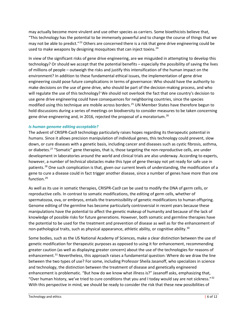may actually become more virulent and use other species as carriers. Some bioethicists believe that, "This technology has the potential to be immensely powerful and to change the course of things that we may not be able to predict."<sup>[23](#page-10-0)</sup> Others are concerned there is a risk that gene drive engineering could be used to make weapons by designing mosquitoes that can inject toxins.<sup>[24](#page-10-1)</sup>

In view of the significant risks of gene drive engineering, are we misguided in attempting to develop this technology? Or should we accept that the potential benefits – especially the possibility of saving the lives of millions of people – outweigh the risks and justify this intensification of the human impact on the environment? In addition to these fundamental ethical issues, the implementation of gene drive engineering could pose future complications in terms of governance: Who should have the authority to make decisions on the use of gene drive, who should be part of the decision-making process, and who will regulate the use of this technology? We should not overlook the fact that one country's decision to use gene drive engineering could have consequences for neighboring countries, since the species modified using this technique are mobile across borders. [25](#page-10-2) UN Member States have therefore begun to hold discussions during a series of meetings on biodiversity to consider measures to be taken concerning gene drive engineering and, in 2016, rejected the proposal of a moratorium.<sup>[26](#page-10-3)</sup>

#### *Is human genome editing acceptable?*

The advent of CRISPR-Cas9 technology particularly raises hopes regarding its therapeutic potential in humans. Since it allows precision manipulation of individual genes, this technology could prevent, slow down, or cure diseases with a genetic basis, including cancer and diseases such as cystic fibrosis, asthma, or diabetes.<sup>[27](#page-10-4)</sup> "Somatic" gene therapies, that is, those targeting the non-reproductive cells, are under development in laboratories around the world and clinical trials are also underway. According to experts, however, a number of technical obstacles make this type of gene therapy not yet ready for safe use in patients.<sup>[28](#page-10-5)</sup> One such complication is that, given our current levels of understanding, the modification of a gene to cure a disease could in fact trigger another disease, since a number of genes have more than one function. [29](#page-10-6)

As well as its use in somatic therapies, CRISPR-Cas9 can be used to modify the DNA of germ cells, or reproductive cells. In contrast to somatic modifications, the editing of germ cells, whether of spermatozoa, ova, or embryos, entails the transmissibility of genetic modifications to human offspring. Genome editing of the germline has become particularly controversial in recent years because these manipulations have the potential to affect the genetic makeup of humanity and because of the lack of knowledge of possible risks for future generations. However, both somatic and germline therapies have the potential to be used for the treatment and prevention of disease as well as for the enhancement of non-pathological traits, such as physical appearance, athletic ability, or cognitive ability.<sup>[30](#page-10-7)</sup>

Some bodies, such as the US National Academy of Sciences, make a clear distinction between the use of genetic modification for therapeutic purposes as opposed to using it for enhancement, recommending greater caution (as well as displaying greater concern) about the use of the technologies for reasons of enhancement.<sup>[31](#page-10-8)</sup> Nevertheless, this approach raises a fundamental question: Where do we draw the line between the two types of use? For some, including Professor Sheila Jasanoff, who specializes in science and technology, the distinction between the treatment of disease and genetically engineered enhancement is problematic. "But how do we know what illness is?" Jasanoff asks, emphasizing that, "Over human history, we've tried to cure conditions that you and I today would say are not sickness."[32](#page-10-9) With this perspective in mind, we should be ready to consider the risk that these new possibilities of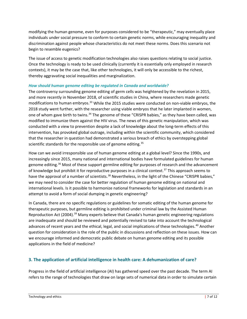modifying the human genome, even for purposes considered to be "therapeutic," may eventually place individuals under social pressure to conform to certain genetic norms, while encouraging inequality and discrimination against people whose characteristics do not meet these norms. Does this scenario not begin to resemble eugenics?

The issue of access to genetic modification technologies also raises questions relating to social justice. Once the technology is ready to be used clinically (currently it is essentially only employed in research contexts), it may be the case that, like other technologies, it will only be accessible to the richest, thereby aggravating social inequalities and marginalization.

### *How should human genome editing be regulated in Canada and worldwide?*

The controversy surrounding genome editing of germ cells was heightened by the revelation in 2015, and more recently in November 2018, of scientific studies in China, where researchers made genetic modifications to human embryos.<sup>[33](#page-10-10)</sup> While the 2015 studies were conducted on non-viable embryos, the 2018 study went further, with the researcher using viable embryos that he later implanted in women, one of whom gave birth to twins.<sup>[34](#page-10-11)</sup> The genome of these "CRISPR babies," as they have been called, was modified to immunize them against the HIV virus. The news of this genetic manipulation, which was conducted with a view to prevention despite a lack of knowledge about the long-term effects of this intervention, has provoked global outrage, including within the scientific community, which considered that the researcher in question had demonstrated a serious breach of ethics by overstepping global scientific standards for the responsible use of genome editing.<sup>[35](#page-10-12)</sup>

How can we avoid irresponsible use of human genome editing at a global level? Since the 1990s, and increasingly since 2015, many national and international bodies have formulated guidelines for human genome editing.<sup>[36](#page-10-13)</sup> Most of these support germline editing for purposes of research and the advancement of knowledge but prohibit it for reproductive purposes in a clinical context.<sup>[37](#page-10-14)</sup> This approach seems to have the approval of a number of scientists.<sup>[38](#page-10-15)</sup> Nevertheless, in the light of the Chinese "CRISPR babies," we may need to consider the case for better regulation of human genome editing on national and international levels. Is it possible to harmonize national frameworks for legislation and standards in an attempt to avoid a form of social dumping in genetic engineering?

In Canada, there are no specific regulations or guidelines for somatic editing of the human genome for therapeutic purposes, but germline editing is prohibited under criminal law by the Assisted Human Reproduction Act (2004).<sup>[39](#page-10-16)</sup> Many experts believe that Canada's human genetic engineering regulations are inadequate and should be reviewed and potentially revised to take into account the technological advances of recent years and the ethical, legal, and social implications of these technologies. [40](#page-10-17) Another question for consideration is the role of the public in discussions and reflection on these issues. How can we encourage informed and democratic public debate on human genome editing and its possible applications in the field of medicine?

# **3. The application of artificial intelligence in health care: A dehumanization of care?**

Progress in the field of artificial intelligence (AI) has gathered speed over the past decade. The term AI refers to the range of technologies that draw on large sets of numerical data in order to simulate certain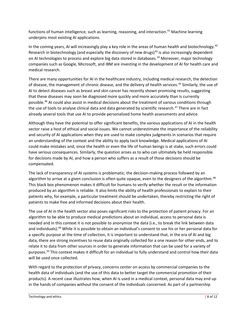functions of human intelligence, such as learning, reasoning, and interaction.<sup>[41](#page-10-18)</sup> Machine learning underpins most existing AI applications.

In the coming years, AI will increasingly play a key role in the areas of human health and biotechnology.<sup>[42](#page-10-19)</sup> Research in biotechnology (and especially the discovery of new drugs) $43$  is also increasingly dependent on AI technologies to process and explore big data stored in databases.<sup>[44](#page-10-21)</sup> Moreover, major technology companies such as Google, Microsoft, and IBM are investing in the development of AI for health care and medical research.

There are many opportunities for AI in the healthcare industry, including medical research, the detection of disease, the management of chronic disease, and the delivery of health services.<sup>[45](#page-10-22)</sup> Similarly, the use of AI to detect diseases such as breast and skin cancer has recently shown promising results, suggesting that these diseases may soon be diagnosed more quickly and more accurately than is currently possible. [46](#page-10-23) AI could also assist in medical decisions about the treatment of various conditions through the use of tools to analyse clinical data and data generated by scientific research.<sup>[47](#page-10-24)</sup> There are in fact already several tools that use AI to provide personalized home health assessments and advice.

Although they have the potential to offer significant benefits, the various applications of AI in the health sector raise a host of ethical and social issues. We cannot underestimate the importance of the reliability and security of AI applications when they are used to make complex judgments in scenarios that require an understanding of the context and the ability to apply tacit knowledge. Medical applications of AI could make mistakes and, since the health or even the life of human beings is at stake, such errors could have serious consequences. Similarly, the question arises as to who can ultimately be held responsible for decisions made by AI, and how a person who suffers as a result of those decisions should be compensated.

The lack of transparency of AI systems is problematic; the decision-making process followed by an algorithm to arrive at a given conclusion is often quite opaque, even to the designers of the algorithm.<sup>[48](#page-10-25)</sup> This black box phenomenon makes it difficult for humans to verify whether the result or the information produced by an algorithm is reliable. It also limits the ability of health professionals to explain to their patients why, for example, a particular treatment should be undertaken, thereby restricting the right of patients to make free and informed decisions about their health.

The use of AI in the health sector also poses significant risks to the protection of patient privacy. For an algorithm to be able to produce medical predictions about an individual, access to personal data is needed and in this context it is not possible to anonymize the data (i.e., to break the link between data and individuals).<sup>[49](#page-10-26)</sup> While it is possible to obtain an individual's consent to use his or her personal data for a specific purpose at the time of collection, it is important to understand that, in the era of AI and big data, there are strong incentives to reuse data originally collected for a one reason for other ends, and to relate it to data from other sources in order to generate information that can be used for a variety of purposes. [50](#page-11-0) This context makes it difficult for an individual to fully understand and control how their data will be used once collected.

With regard to the protection of privacy, concerns center on access by commercial companies to the health data of individuals (and the use of this data to better target the commercial promotion of their products). A recent case illustrates how, when AI is used in a medical context, personal data may end up in the hands of companies without the consent of the individuals concerned. As part of a partnership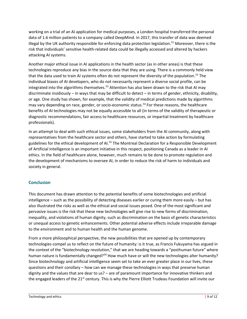working on a trial of an AI application for medical purposes, a London hospital transferred the personal data of 1.6 million patients to a company called DeepMind. In 2017, this transfer of data was deemed illegal by the UK authority responsible for enforcing data protection legislation.<sup>[51](#page-11-1)</sup> Moreover, there is the risk that individuals' sensitive health-related data could be illegally accessed and altered by hackers attacking AI systems.

Another major ethical issue in AI applications in the health sector (as in other areas) is that these technologies reproduce any bias in the source data that they are using. There is a commonly held view that the data used to train AI systems often do not represent the diversity of the population.<sup>[52](#page-11-2)</sup> The individual biases of AI developers, who do not necessarily represent a diverse social profile, can be integrated into the algorithms themselves.<sup>[53](#page-11-3)</sup> Attention has also been drawn to the risk that AI may discriminate insidiously – in ways that may be difficult to detect – in terms of gender, ethnicity, disability, or age. One study has shown, for example, that the validity of medical predictions made by algorithms may vary depending on race, gender, or socio-economic status.<sup>[54](#page-11-4)</sup> For these reasons, the healthcare benefits of AI technologies may not be equally accessible to all (in terms of the validity of therapeutic or diagnostic recommendations, fair access to healthcare resources, or impartial treatment by healthcare professionals).

In an attempt to deal with such ethical issues, some stakeholders from the AI community, along with representatives from the healthcare sector and others, have started to take action by formulating guidelines for the ethical development of AI.<sup>[55](#page-11-5)</sup> The Montreal Declaration for a Responsible Development of Artificial Intelligence is an important initiative in this respect, positioning Canada as a leader in AI ethics. In the field of healthcare alone, however, much remains to be done to promote regulation and the development of mechanisms to oversee AI, in order to reduce the risk of harm to individuals and society in general.

# **Conclusion**

This document has drawn attention to the potential benefits of some biotechnologies and artificial intelligence – such as the possibility of detecting diseases earlier or curing them more easily – but has also illustrated the risks as well as the ethical and social issues posed. One of the most significant and pervasive issues is the risk that these new technologies will give rise to new forms of discrimination, inequality, and violations of human dignity, such as discrimination on the basis of genetic characteristics or unequal access to genetic enhancements. Other potential adverse effects include irreparable damage to the environment and to human health and the human genome.

From a more philosophical perspective, the new possibilities that are opened up by contemporary technologies compel us to reflect on the future of humanity: is it true, as Francis Fukuyama has argued in the context of the "biotechnology revolution," that we are heading towards a "posthuman future" where human nature is fundamentally changed?<sup>[56](#page-11-6)</sup> How much have or will the new technologies alter humanity? Since biotechnology and artificial intelligence seem set to take an ever greater place in our lives, these questions and their corollary – how can we manage these technologies in ways that preserve human dignity and the values that are dear to us? – are of paramount importance for innovative thinkers and the engaged leaders of the 21<sup>st</sup> century. This is why the Pierre Elliott Trudeau Foundation will invite our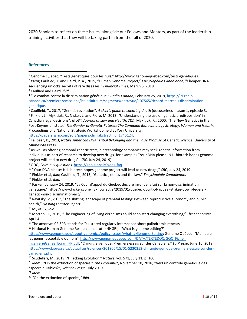2020 Scholars to reflect on these issues, alongside our Fellows and Mentors, as part of the leadership training activities that they will be taking part in from the fall of 2020.

#### **References**

<span id="page-9-8"></span><sup>9</sup> ODG, *Foire aux questions*, [https://gdo.global/fr/odg-faq.](https://gdo.global/fr/odg-faq)

<span id="page-9-14"></span><sup>15</sup> Mykitiuk, *ibid*.

<span id="page-9-16"></span> $17$  The acronym CRISPR stands for "clustered regularly interspaced short palindromic repeats."

<span id="page-9-17"></span> $18$  National Human Genome Research Institute (NHGRI), "What is genome editing?"

[https://www.genome.gov/about-genomics/policy-issues/what-is-Genome-Editing;](https://www.genome.gov/about-genomics/policy-issues/what-is-Genome-Editing) Genome Québec, "Manipuler les genes, acceptable ou non?" [http://www.genomequebec.com/DATA/TEXTEDOC/GQC\\_Fiche\\_](http://www.genomequebec.com/DATA/TEXTEDOC/GQC_Fiche_%20IngenierieGenes_Ecran_FR.pdf) 

[IngenierieGenes\\_Ecran\\_FR.pdf;](http://www.genomequebec.com/DATA/TEXTEDOC/GQC_Fiche_%20IngenierieGenes_Ecran_FR.pdf) "Chirurgie génique: Premiers essais sur des Canadiens," *La Presse*, June 16, 2019 [https://www.lapresse.ca/actualites/sciences/201906/15/01-5230352-chirurgie-genique-premiers-essais-sur-des](https://www.lapresse.ca/actualites/sciences/201906/15/01-5230352-chirurgie-genique-premiers-essais-sur-des-canadiens.php)[canadiens.php.](https://www.lapresse.ca/actualites/sciences/201906/15/01-5230352-chirurgie-genique-premiers-essais-sur-des-canadiens.php)

<span id="page-9-18"></span><sup>19</sup> Scudellari, M., 2019, "Hijacking Evolution," *Nature*, vol. 571, July 11, p. 160.

<span id="page-9-19"></span><sup>20</sup> *Idem.*; "On the extinction of species." *The Economist*, November 10, 2018; "Vers un contrôle génétique des espèces nuisibles?", *Science Presse*, July 2019.

<span id="page-9-20"></span><sup>21</sup> *Idem*.

<span id="page-9-21"></span><sup>22</sup> "On the extinction of species," *ibid*.

<span id="page-9-0"></span> $16$ énome Québec, "Tests génétiques pour les nuls," http://www.genomequebec.com/tests-genetiques.

<span id="page-9-1"></span><sup>2</sup> *Idem*; Caulfied, T. and Baird, P. A., 2015, "Human Genome Project," *Encyclopédie Canadienne*; "Cheaper DNA sequencing unlocks secrets of rare diseases," *Financial Times*, March 5, 2018.

<span id="page-9-2"></span><sup>3</sup> Caulfied and Baird, *ibid*.

<span id="page-9-3"></span><sup>4</sup> "Le combat contre la discrimination génétique," *Radio-Canada*, February 25, 2019, [https://ici.radio](https://ici.radio-canada.ca/premiere/emissions/les-eclaireurs/segments/entrevue/107565/richard-marceau-discrimination-genetique)[canada.ca/premiere/emissions/les-eclaireurs/segments/entrevue/107565/richard-marceau-discrimination](https://ici.radio-canada.ca/premiere/emissions/les-eclaireurs/segments/entrevue/107565/richard-marceau-discrimination-genetique)[genetique.](https://ici.radio-canada.ca/premiere/emissions/les-eclaireurs/segments/entrevue/107565/richard-marceau-discrimination-genetique)

<span id="page-9-5"></span><span id="page-9-4"></span><sup>5</sup> Caulfield, T., 2017, "Genetic revolution", *A User's guide to cheating death* (docuseries), season 1, episode 3. <sup>6</sup> Finkler, L., Mykitiuk, R., Nisker, J. and Pioro, M. 2013, "Understanding the use of 'genetic predisposition' in Canadian legal decisions", *McGill Journal of Law and Health*, 7(1); Mykitiuk, R., 2000, "The New Genetics in the Post-Keynesian state," *The Gender of Genetic Futures: The Canadian Biotechnology Strategy, Women and Health*, Proceedings of a National Strategic Workshop held at York University,

<span id="page-9-6"></span>[https://papers.ssrn.com/sol3/papers.cfm?abstract\\_id=1745124.](https://papers.ssrn.com/sol3/papers.cfm?abstract_id=1745124)<br><sup>7</sup> Tallbear, K., 2013, *Native American DNA: Tribal Belonging and the False Promise of Genetic Science*, University of Minnesota Press.

<span id="page-9-7"></span><sup>&</sup>lt;sup>8</sup> As well as offering personal genetic tests, biotechnology companies may seek genetic information from individuals as part of research to develop new drugs, for example ("Your DNA please: N.L. biotech hopes genome project will lead to new drugs", *CBC*, July 24, 2019).

<span id="page-9-9"></span><sup>10</sup> "Your DNA please: N.L. biotech hopes genome project will lead to new drugs," *CBC*, July 24, 2019.

<span id="page-9-10"></span><sup>11</sup> Finkler et al, *ibid*; Caulfield, T., 2013, "Genetics, ethics and the law," *Encyclopédie Canadienne*.

<span id="page-9-11"></span><sup>12</sup> Finkler et al, *ibid*.

<span id="page-9-12"></span><sup>&</sup>lt;sup>13</sup> Fasken, January 24, 2019, "La Cour d'appel du Québec déclare invalide la Loi sur la non-discrimination génétique," https://www.fasken.com/fr/knowledge/2019/01/quebec-court-of-appeal-strikes-down-federalgenetic-non-discrimination-act/.

<span id="page-9-13"></span><sup>&</sup>lt;sup>14</sup> Ravitsky, V., 2017, "The shifting landscape of prenatal testing: Between reproductive autonomy and public health," *Hastings Center Report*.

<span id="page-9-15"></span><sup>16</sup> Morton, O., 2019, "The engineering of living organisms could soon start changing everything," *The Economist*, April 4.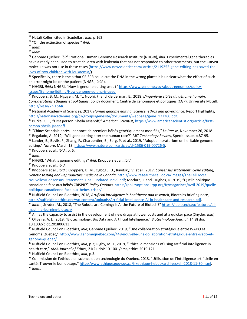<span id="page-10-0"></span><sup>23</sup> Natali Kofler, cited in Scudellari, *ibid*, p.162.

<span id="page-10-3"></span><sup>26</sup> *Idem*.

<span id="page-10-4"></span><sup>27</sup> Génome Québec, *ibid*.; National Human Genome Research Institute (NHGRI), *ibid*. Experimental gene therapies have already been used to treat children with leukemia that has not responded to other treatments, but the CRISPR molecule was not use in these cases [\(https://www.newscientist.com/ article/2119252-gene-editing-has-saved-the](https://www.newscientist.com/%20article/2119252-gene-editing-has-saved-the-lives-of-two-children-with-leukaemia/)[lives-of-two-children-with-leukaemia/\)](https://www.newscientist.com/%20article/2119252-gene-editing-has-saved-the-lives-of-two-children-with-leukaemia/).

<span id="page-10-5"></span><sup>28</sup> Specifically, there is the a that CRISPR could cut the DNA in the wrong place; it is unclear what the effect of such an error might be on the patient (NHGRI, *ibid*.).

<span id="page-10-6"></span><sup>29</sup> NHGRI, *ibid.*; NHGRI, "How is genome editing used?" [https://www.genome.gov/about-genomics/policy](https://www.genome.gov/about-genomics/policy-issues/Genome-Editing/How-genome-editing-is-used)[issues/Genome-Editing/How-genome-editing-is-used.](https://www.genome.gov/about-genomics/policy-issues/Genome-Editing/How-genome-editing-is-used)

<span id="page-10-7"></span><sup>30</sup> Knoppers, B. M., Nguyen, M. T., Noohi, F. and Kleiderman, E., 2018, *L'ingénierie ciblée du génome humain: Considérations éthiques et politiques*, policy document, Centre de génomique et politiques (CGP), Université McGill, [http://bit.ly/2hi1pAR.](http://bit.ly/2hi1pAR)

<span id="page-10-8"></span><sup>31</sup> National Academy of Sciences, 2017, *Human genome editing: Science, ethics and governance*, Report highlights, [http://nationalacademies.org/cs/groups/genesite/documents/webpage/gene\\_177260.pdf.](http://nationalacademies.org/cs/groups/genesite/documents/webpage/gene_177260.pdf) 32 Burke, K. L., "First person: Sheila Jasanoff," *American Scientist*, [https://www.americanscientist.org/article/first-](https://www.americanscientist.org/article/first-person-sheila-jasanoff)

<span id="page-10-9"></span>[person-sheila-jasanoff.](https://www.americanscientist.org/article/first-person-sheila-jasanoff)

<span id="page-10-10"></span><sup>33</sup> "Chine: Scandale après l'annonce de premiers bébés génétiquement modifiés," *La Presse*, November 26, 2018. <sup>34</sup> Regalado, A. 2019, "Will gene editing alter the human race?" *MIT Technology Review*, Special Issue, p.87-95.

<span id="page-10-12"></span><span id="page-10-11"></span>35 Lander, E., Baylis, F., Zhang, F., Charpentier, E., Berg, P. et al., 2019, "Adopt a moratorium on heritable genome editing," *Nature*, March 13[, https://www.nature.com/articles/d41586-019-00726-5.](https://www.nature.com/articles/d41586-019-00726-5)

<span id="page-10-13"></span><sup>36</sup> Knoppers et al., *ibid*., p. 6.

<span id="page-10-14"></span><sup>37</sup> *Idem*.

<span id="page-10-15"></span><sup>38</sup> NHGRI, "What is genome editing?" *ibid*; Knoppers et al., *ibid*.

<span id="page-10-16"></span><sup>39</sup> Knoppers et al., *ibid*.

<span id="page-10-17"></span><sup>40</sup> Knoppers et al., *ibid*.; Knoppers, B. M., Ogbogu, U., Ravitsky, V. et al., 2017, *Consensus statement: Gene editing, Genetic testing and Reproductive medicine in Canada*[, http://www.reseauthecell.qc.ca/images/TheCellDocs/](http://www.reseauthecell.qc.ca/images/TheCellDocs/%20Nouvelles/Consensus_Statement_Final_updated_nov9.pdf)  Nouvelles/Consensus Statement Final updated nov9.pdf; Maclure, J. and Hughes, D. 2019, "Quelle politique canadienne face aux bébés CRISPR?" *Policy Options*, [https://policyoptions.irpp.org/fr/magazines/avril-2019/quelle](https://policyoptions.irpp.org/fr/magazines/avril-2019/quelle-politique-canadienne-face-aux-bebes-crispr/)[politique-canadienne-face-aux-bebes-crispr/.](https://policyoptions.irpp.org/fr/magazines/avril-2019/quelle-politique-canadienne-face-aux-bebes-crispr/)

<span id="page-10-18"></span><sup>41</sup> Nuffield Council on Bioethics, 2018, *Artificial intelligence in healthcare and research*, Bioethics briefing note, [http://nuffieldbioethics.org/wp-content/uploads/Artificial-Intelligence-AI-in-healthcare-and-research.pdf.](http://nuffieldbioethics.org/wp-content/uploads/Artificial-Intelligence-AI-in-healthcare-and-research.pdf)<br><sup>42</sup> Idem.; Snyder, M., 2018, "The Robots are Coming: Is AI the Future of Biotech?" https://labiotech.eu/features/a

<span id="page-10-19"></span>[machine-learning-biotech/.](https://labiotech.eu/features/ai-machine-learning-biotech/)

<span id="page-10-21"></span><span id="page-10-20"></span><sup>43</sup> AI has the capacity to assist in the development of new drugs at lower costs and at a quicker pace (Snyder, *ibid*). <sup>44</sup> Oliveira, A. L., 2019, "Biotechnology, Big Data and Artificial Intelligence," *Biotechnology Journal*, 14(8) doi: 10.1002/biot.201800613. 45 Nuffield Council on Bioethics, *ibid*; Genome Québec, 2019, "Une collaboration stratégique entre IVADO et

<span id="page-10-22"></span>Génome Québec," [http://www.genomequebec.com/448-nouvelle-une-collaboration-strategique-entre-ivado-et](http://www.genomequebec.com/448-nouvelle-une-collaboration-strategique-entre-ivado-et-genome-quebec/)[genome-quebec/.](http://www.genomequebec.com/448-nouvelle-une-collaboration-strategique-entre-ivado-et-genome-quebec/)

<span id="page-10-23"></span><sup>46</sup> Nuffield Council on Bioethics, *ibid*, p.3; Rigby, M. J., 2019, "Ethical dimensions of using artificial intelligence in health care," *AMA Journal of Ethics*, 21(2), doi: 10.1001/amajethics.2019.121.

<span id="page-10-24"></span><sup>47</sup> Nuffield Council on Bioethics, *ibid*, p.3.

<span id="page-10-26"></span><span id="page-10-25"></span>48 Commission de l'éthique en science et en technologie du Québec, 2018, "Utilisation de l'intelligence artificielle en santé: Trouver le bon dosage,[" http://www.ethique.gouv.qc.ca/fr/ethique-hebdo/archives/eh-2018-11-30.html.](http://www.ethique.gouv.qc.ca/fr/ethique-hebdo/archives/eh-2018-11-30.html) <sup>49</sup> *Idem.*

<span id="page-10-1"></span><sup>24</sup> "On the extinction of species," *ibid*.

<span id="page-10-2"></span><sup>25</sup> *Idem*.